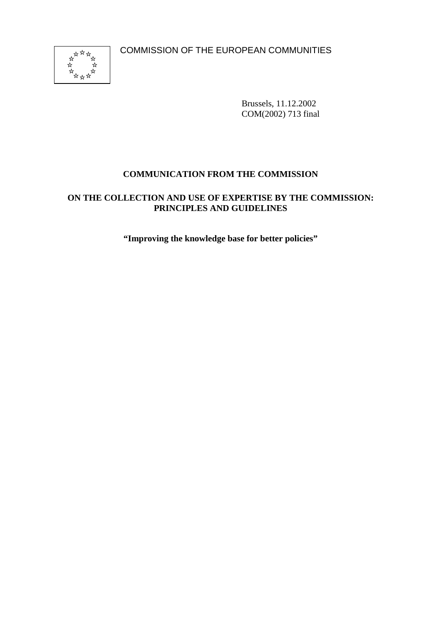COMMISSION OF THE EUROPEAN COMMUNITIES



Brussels, 11.12.2002 COM(2002) 713 final

# **COMMUNICATION FROM THE COMMISSION**

# **ON THE COLLECTION AND USE OF EXPERTISE BY THE COMMISSION: PRINCIPLES AND GUIDELINES**

**"Improving the knowledge base for better policies"**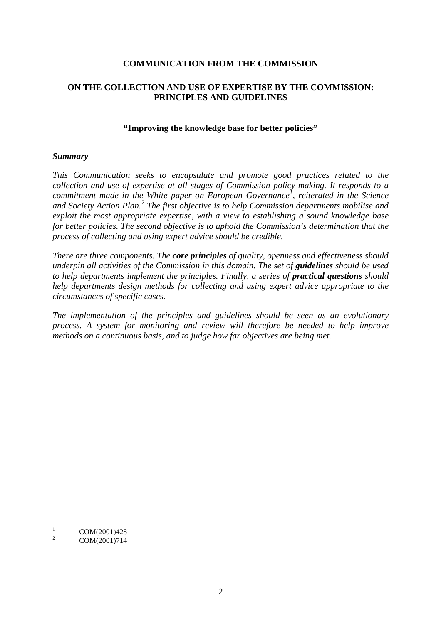### **COMMUNICATION FROM THE COMMISSION**

# **ON THE COLLECTION AND USE OF EXPERTISE BY THE COMMISSION: PRINCIPLES AND GUIDELINES**

#### **"Improving the knowledge base for better policies"**

#### *Summary*

*This Communication seeks to encapsulate and promote good practices related to the collection and use of expertise at all stages of Commission policy-making. It responds to a commitment made in the White paper on European Governance<sup>1</sup> , reiterated in the Science and Society Action Plan.<sup>2</sup> The first objective is to help Commission departments mobilise and exploit the most appropriate expertise, with a view to establishing a sound knowledge base for better policies. The second objective is to uphold the Commission's determination that the process of collecting and using expert advice should be credible.*

*There are three components. The core principles of quality, openness and effectiveness should underpin all activities of the Commission in this domain. The set of guidelines should be used to help departments implement the principles. Finally, a series of practical questions should help departments design methods for collecting and using expert advice appropriate to the circumstances of specific cases.*

*The implementation of the principles and guidelines should be seen as an evolutionary process. A system for monitoring and review will therefore be needed to help improve methods on a continuous basis, and to judge how far objectives are being met.*

 $\frac{1}{2}$  COM(2001)428<br>COM(2001)714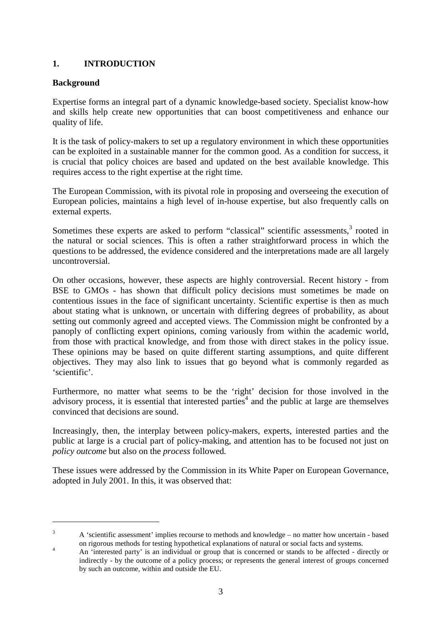# **1. INTRODUCTION**

# **Background**

 $\overline{a}$ 

Expertise forms an integral part of a dynamic knowledge-based society. Specialist know-how and skills help create new opportunities that can boost competitiveness and enhance our quality of life.

It is the task of policy-makers to set up a regulatory environment in which these opportunities can be exploited in a sustainable manner for the common good. As a condition for success, it is crucial that policy choices are based and updated on the best available knowledge. This requires access to the right expertise at the right time.

The European Commission, with its pivotal role in proposing and overseeing the execution of European policies, maintains a high level of in-house expertise, but also frequently calls on external experts.

Sometimes these experts are asked to perform "classical" scientific assessments,<sup>3</sup> rooted in the natural or social sciences. This is often a rather straightforward process in which the questions to be addressed, the evidence considered and the interpretations made are all largely uncontroversial.

On other occasions, however, these aspects are highly controversial. Recent history - from BSE to GMOs - has shown that difficult policy decisions must sometimes be made on contentious issues in the face of significant uncertainty. Scientific expertise is then as much about stating what is unknown, or uncertain with differing degrees of probability, as about setting out commonly agreed and accepted views. The Commission might be confronted by a panoply of conflicting expert opinions, coming variously from within the academic world, from those with practical knowledge, and from those with direct stakes in the policy issue. These opinions may be based on quite different starting assumptions, and quite different objectives. They may also link to issues that go beyond what is commonly regarded as 'scientific'.

Furthermore, no matter what seems to be the 'right' decision for those involved in the advisory process, it is essential that interested parties<sup>4</sup> and the public at large are themselves convinced that decisions are sound.

Increasingly, then, the interplay between policy-makers, experts, interested parties and the public at large is a crucial part of policy-making, and attention has to be focused not just on *policy outcome* but also on the *process* followed*.*

These issues were addressed by the Commission in its White Paper on European Governance, adopted in July 2001. In this, it was observed that:

<sup>&</sup>lt;sup>3</sup> A 'scientific assessment' implies recourse to methods and knowledge – no matter how uncertain - based

on rigorous methods for testing hypothetical explanations of natural or social facts and systems.<br>An 'interested party' is an individual or group that is concerned or stands to be affected - directly or indirectly - by the outcome of a policy process; or represents the general interest of groups concerned by such an outcome, within and outside the EU.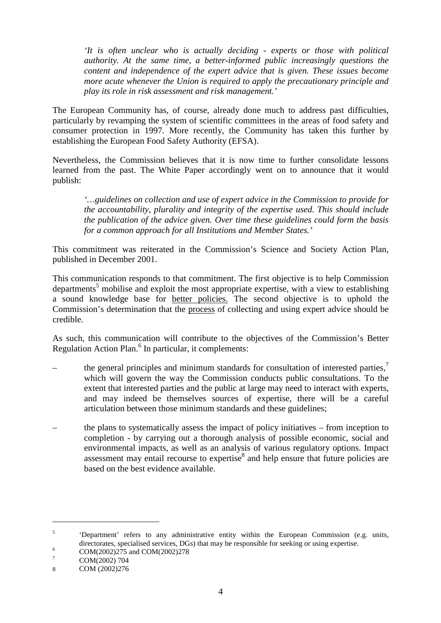*'It is often unclear who is actually deciding - experts or those with political authority. At the same time, a better-informed public increasingly questions the content and independence of the expert advice that is given. These issues become more acute whenever the Union is required to apply the precautionary principle and play its role in risk assessment and risk management.'*

The European Community has, of course, already done much to address past difficulties, particularly by revamping the system of scientific committees in the areas of food safety and consumer protection in 1997. More recently, the Community has taken this further by establishing the European Food Safety Authority (EFSA).

Nevertheless, the Commission believes that it is now time to further consolidate lessons learned from the past. The White Paper accordingly went on to announce that it would publish:

*'…guidelines on collection and use of expert advice in the Commission to provide for the accountability, plurality and integrity of the expertise used. This should include the publication of the advice given. Over time these guidelines could form the basis for a common approach for all Institutions and Member States.'*

This commitment was reiterated in the Commission's Science and Society Action Plan, published in December 2001.

This communication responds to that commitment. The first objective is to help Commission departments<sup>5</sup> mobilise and exploit the most appropriate expertise, with a view to establishing a sound knowledge base for better policies. The second objective is to uphold the Commission's determination that the process of collecting and using expert advice should be credible.

As such, this communication will contribute to the objectives of the Commission's Better Regulation Action Plan.<sup>6</sup> In particular, it complements:

- the general principles and minimum standards for consultation of interested parties, $\frac{7}{1}$ which will govern the way the Commission conducts public consultations. To the extent that interested parties and the public at large may need to interact with experts, and may indeed be themselves sources of expertise, there will be a careful articulation between those minimum standards and these guidelines;
- the plans to systematically assess the impact of policy initiatives from inception to completion - by carrying out a thorough analysis of possible economic, social and environmental impacts, as well as an analysis of various regulatory options. Impact assessment may entail recourse to expertise $\frac{8}{3}$  and help ensure that future policies are based on the best evidence available.

<sup>&</sup>lt;sup>5</sup> 'Department' refers to any administrative entity within the European Commission (e.g. units, directorates, specialised services, DGs) that may be responsible for seeking or using expertise.<br>
COM(2002)275 and COM(2002)278<br>
COM(2002) 704

<sup>8</sup> COM (2002)276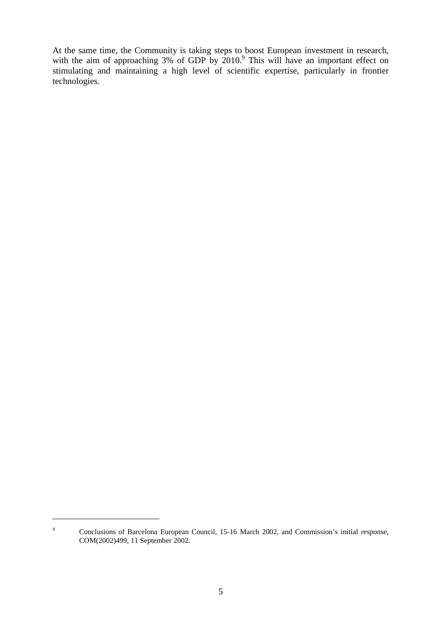At the same time, the Community is taking steps to boost European investment in research, with the aim of approaching  $3\%$  of GDP by  $2010$ . This will have an important effect on stimulating and maintaining a high level of scientific expertise, particularly in frontier technologies.

<sup>&</sup>lt;sup>9</sup> Conclusions of Barcelona European Council, 15-16 March 2002, and Commission's initial response, COM(2002)499, 11 September 2002.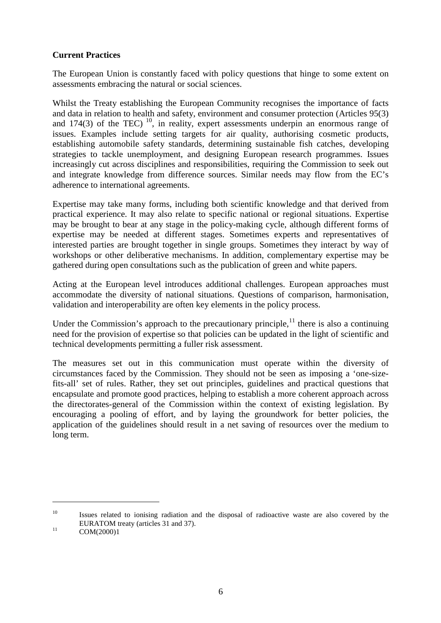## **Current Practices**

The European Union is constantly faced with policy questions that hinge to some extent on assessments embracing the natural or social sciences.

Whilst the Treaty establishing the European Community recognises the importance of facts and data in relation to health and safety, environment and consumer protection (Articles 95(3) and  $174(3)$  of the TEC)<sup>10</sup>, in reality, expert assessments underpin an enormous range of issues. Examples include setting targets for air quality, authorising cosmetic products, establishing automobile safety standards, determining sustainable fish catches, developing strategies to tackle unemployment, and designing European research programmes. Issues increasingly cut across disciplines and responsibilities, requiring the Commission to seek out and integrate knowledge from difference sources. Similar needs may flow from the EC's adherence to international agreements.

Expertise may take many forms, including both scientific knowledge and that derived from practical experience. It may also relate to specific national or regional situations. Expertise may be brought to bear at any stage in the policy-making cycle, although different forms of expertise may be needed at different stages. Sometimes experts and representatives of interested parties are brought together in single groups. Sometimes they interact by way of workshops or other deliberative mechanisms. In addition, complementary expertise may be gathered during open consultations such as the publication of green and white papers.

Acting at the European level introduces additional challenges. European approaches must accommodate the diversity of national situations. Questions of comparison, harmonisation, validation and interoperability are often key elements in the policy process.

Under the Commission's approach to the precautionary principle,  $\frac{11}{11}$  there is also a continuing need for the provision of expertise so that policies can be updated in the light of scientific and technical developments permitting a fuller risk assessment.

The measures set out in this communication must operate within the diversity of circumstances faced by the Commission. They should not be seen as imposing a 'one-sizefits-all' set of rules. Rather, they set out principles, guidelines and practical questions that encapsulate and promote good practices, helping to establish a more coherent approach across the directorates-general of the Commission within the context of existing legislation. By encouraging a pooling of effort, and by laying the groundwork for better policies, the application of the guidelines should result in a net saving of resources over the medium to long term.

<sup>&</sup>lt;sup>10</sup> Issues related to ionising radiation and the disposal of radioactive waste are also covered by the EURATOM treaty (articles 31 and 37).<br>
COM(2000)1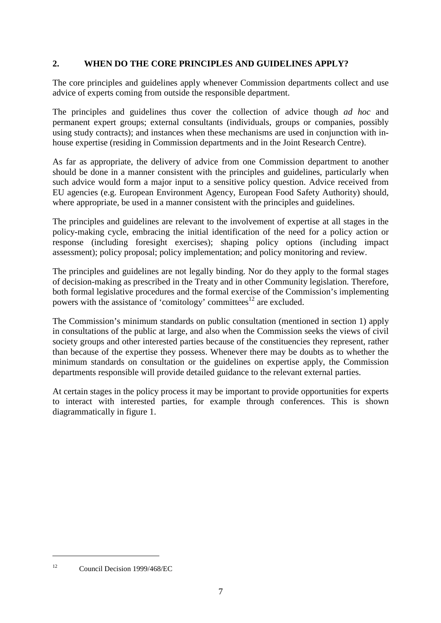# **2. WHEN DO THE CORE PRINCIPLES AND GUIDELINES APPLY?**

The core principles and guidelines apply whenever Commission departments collect and use advice of experts coming from outside the responsible department.

The principles and guidelines thus cover the collection of advice though *ad hoc* and permanent expert groups; external consultants (individuals, groups or companies, possibly using study contracts); and instances when these mechanisms are used in conjunction with inhouse expertise (residing in Commission departments and in the Joint Research Centre).

As far as appropriate, the delivery of advice from one Commission department to another should be done in a manner consistent with the principles and guidelines, particularly when such advice would form a major input to a sensitive policy question. Advice received from EU agencies (e.g. European Environment Agency, European Food Safety Authority) should, where appropriate, be used in a manner consistent with the principles and guidelines.

The principles and guidelines are relevant to the involvement of expertise at all stages in the policy-making cycle, embracing the initial identification of the need for a policy action or response (including foresight exercises); shaping policy options (including impact assessment); policy proposal; policy implementation; and policy monitoring and review.

The principles and guidelines are not legally binding. Nor do they apply to the formal stages of decision-making as prescribed in the Treaty and in other Community legislation. Therefore, both formal legislative procedures and the formal exercise of the Commission's implementing powers with the assistance of 'comitology' committees<sup>12</sup> are excluded.

The Commission's minimum standards on public consultation (mentioned in section 1) apply in consultations of the public at large, and also when the Commission seeks the views of civil society groups and other interested parties because of the constituencies they represent, rather than because of the expertise they possess. Whenever there may be doubts as to whether the minimum standards on consultation or the guidelines on expertise apply, the Commission departments responsible will provide detailed guidance to the relevant external parties.

At certain stages in the policy process it may be important to provide opportunities for experts to interact with interested parties, for example through conferences. This is shown diagrammatically in figure 1.

<sup>12</sup> Council Decision 1999/468/EC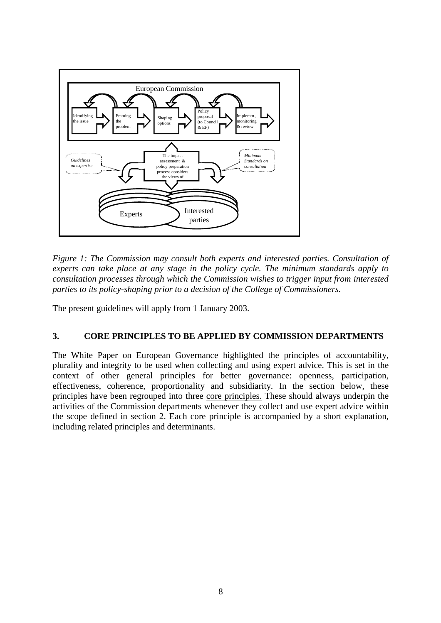

*Figure 1: The Commission may consult both experts and interested parties. Consultation of experts can take place at any stage in the policy cycle. The minimum standards apply to consultation processes through which the Commission wishes to trigger input from interested parties to its policy-shaping prior to a decision of the College of Commissioners.*

The present guidelines will apply from 1 January 2003.

# **3. CORE PRINCIPLES TO BE APPLIED BY COMMISSION DEPARTMENTS**

The White Paper on European Governance highlighted the principles of accountability, plurality and integrity to be used when collecting and using expert advice. This is set in the context of other general principles for better governance: openness, participation, effectiveness, coherence, proportionality and subsidiarity. In the section below, these principles have been regrouped into three core principles. These should always underpin the activities of the Commission departments whenever they collect and use expert advice within the scope defined in section 2. Each core principle is accompanied by a short explanation, including related principles and determinants.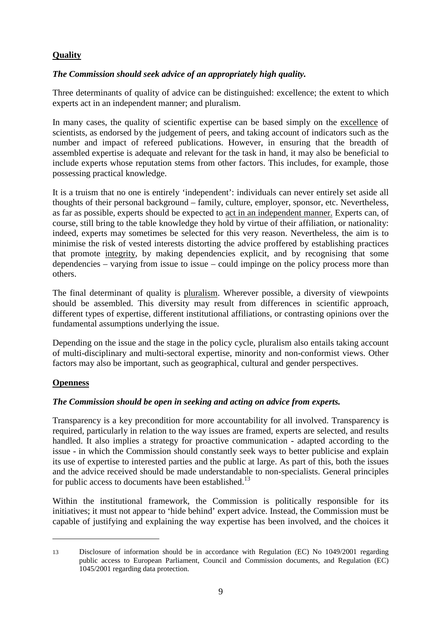# **Quality**

# *The Commission should seek advice of an appropriately high quality.*

Three determinants of quality of advice can be distinguished: excellence; the extent to which experts act in an independent manner; and pluralism.

In many cases, the quality of scientific expertise can be based simply on the excellence of scientists, as endorsed by the judgement of peers, and taking account of indicators such as the number and impact of refereed publications. However, in ensuring that the breadth of assembled expertise is adequate and relevant for the task in hand, it may also be beneficial to include experts whose reputation stems from other factors. This includes, for example, those possessing practical knowledge.

It is a truism that no one is entirely 'independent': individuals can never entirely set aside all thoughts of their personal background – family, culture, employer, sponsor, etc. Nevertheless, as far as possible, experts should be expected to act in an independent manner. Experts can, of course, still bring to the table knowledge they hold by virtue of their affiliation, or nationality: indeed, experts may sometimes be selected for this very reason. Nevertheless, the aim is to minimise the risk of vested interests distorting the advice proffered by establishing practices that promote integrity, by making dependencies explicit, and by recognising that some dependencies – varying from issue to issue – could impinge on the policy process more than others.

The final determinant of quality is pluralism. Wherever possible, a diversity of viewpoints should be assembled. This diversity may result from differences in scientific approach, different types of expertise, different institutional affiliations, or contrasting opinions over the fundamental assumptions underlying the issue.

Depending on the issue and the stage in the policy cycle, pluralism also entails taking account of multi-disciplinary and multi-sectoral expertise, minority and non-conformist views. Other factors may also be important, such as geographical, cultural and gender perspectives.

## **Openness**

 $\overline{a}$ 

## *The Commission should be open in seeking and acting on advice from experts.*

Transparency is a key precondition for more accountability for all involved. Transparency is required, particularly in relation to the way issues are framed, experts are selected, and results handled. It also implies a strategy for proactive communication - adapted according to the issue - in which the Commission should constantly seek ways to better publicise and explain its use of expertise to interested parties and the public at large. As part of this, both the issues and the advice received should be made understandable to non-specialists. General principles for public access to documents have been established.<sup>13</sup>

Within the institutional framework, the Commission is politically responsible for its initiatives; it must not appear to 'hide behind' expert advice. Instead, the Commission must be capable of justifying and explaining the way expertise has been involved, and the choices it

<sup>13</sup> Disclosure of information should be in accordance with Regulation (EC) No 1049/2001 regarding public access to European Parliament, Council and Commission documents, and Regulation (EC) 1045/2001 regarding data protection.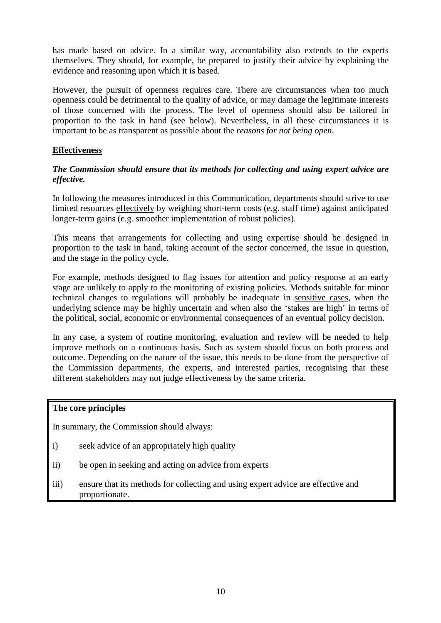has made based on advice. In a similar way, accountability also extends to the experts themselves. They should, for example, be prepared to justify their advice by explaining the evidence and reasoning upon which it is based.

However, the pursuit of openness requires care. There are circumstances when too much openness could be detrimental to the quality of advice, or may damage the legitimate interests of those concerned with the process. The level of openness should also be tailored in proportion to the task in hand (see below). Nevertheless, in all these circumstances it is important to be as transparent as possible about the *reasons for not being open*.

### **Effectiveness**

### *The Commission should ensure that its methods for collecting and using expert advice are effective.*

In following the measures introduced in this Communication, departments should strive to use limited resources effectively by weighing short-term costs (e.g. staff time) against anticipated longer-term gains (e.g. smoother implementation of robust policies).

This means that arrangements for collecting and using expertise should be designed in proportion to the task in hand, taking account of the sector concerned, the issue in question, and the stage in the policy cycle.

For example, methods designed to flag issues for attention and policy response at an early stage are unlikely to apply to the monitoring of existing policies. Methods suitable for minor technical changes to regulations will probably be inadequate in sensitive cases, when the underlying science may be highly uncertain and when also the 'stakes are high' in terms of the political, social, economic or environmental consequences of an eventual policy decision.

In any case, a system of routine monitoring, evaluation and review will be needed to help improve methods on a continuous basis. Such as system should focus on both process and outcome. Depending on the nature of the issue, this needs to be done from the perspective of the Commission departments, the experts, and interested parties, recognising that these different stakeholders may not judge effectiveness by the same criteria.

#### **The core principles**

In summary, the Commission should always:

- i) seek advice of an appropriately high quality
- ii) be open in seeking and acting on advice from experts
- iii) ensure that its methods for collecting and using expert advice are effective and proportionate.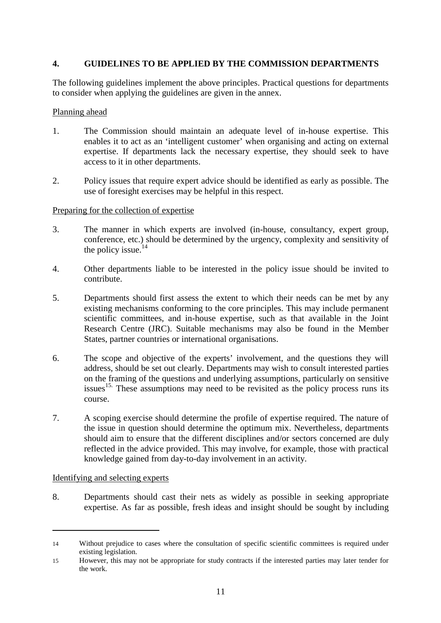## **4. GUIDELINES TO BE APPLIED BY THE COMMISSION DEPARTMENTS**

The following guidelines implement the above principles. Practical questions for departments to consider when applying the guidelines are given in the annex.

### Planning ahead

- 1. The Commission should maintain an adequate level of in-house expertise. This enables it to act as an 'intelligent customer' when organising and acting on external expertise. If departments lack the necessary expertise, they should seek to have access to it in other departments.
- 2. Policy issues that require expert advice should be identified as early as possible. The use of foresight exercises may be helpful in this respect.

### Preparing for the collection of expertise

- 3. The manner in which experts are involved (in-house, consultancy, expert group, conference, etc.) should be determined by the urgency, complexity and sensitivity of the policy issue. $^{14}$
- 4. Other departments liable to be interested in the policy issue should be invited to contribute.
- 5. Departments should first assess the extent to which their needs can be met by any existing mechanisms conforming to the core principles. This may include permanent scientific committees, and in-house expertise, such as that available in the Joint Research Centre (JRC). Suitable mechanisms may also be found in the Member States, partner countries or international organisations.
- 6. The scope and objective of the experts' involvement, and the questions they will address, should be set out clearly. Departments may wish to consult interested parties on the framing of the questions and underlying assumptions, particularly on sensitive  $i$ ssues<sup>15.</sup> These assumptions may need to be revisited as the policy process runs its course.
- 7. A scoping exercise should determine the profile of expertise required. The nature of the issue in question should determine the optimum mix. Nevertheless, departments should aim to ensure that the different disciplines and/or sectors concerned are duly reflected in the advice provided. This may involve, for example, those with practical knowledge gained from day-to-day involvement in an activity.

#### Identifying and selecting experts

 $\overline{a}$ 

8. Departments should cast their nets as widely as possible in seeking appropriate expertise. As far as possible, fresh ideas and insight should be sought by including

<sup>14</sup> Without prejudice to cases where the consultation of specific scientific committees is required under existing legislation.

<sup>15</sup> However, this may not be appropriate for study contracts if the interested parties may later tender for the work.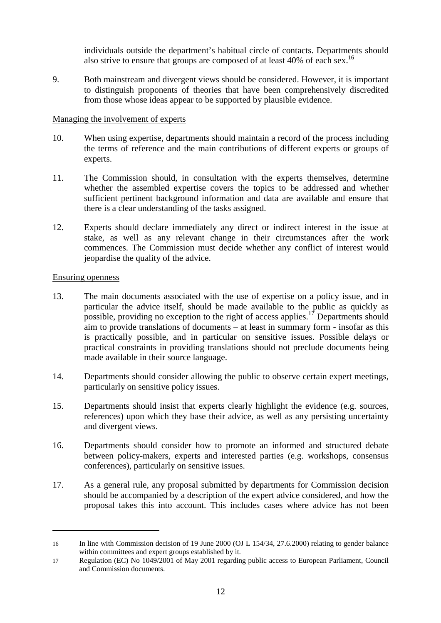individuals outside the department's habitual circle of contacts. Departments should also strive to ensure that groups are composed of at least  $40\%$  of each sex.<sup>16</sup>

9. Both mainstream and divergent views should be considered. However, it is important to distinguish proponents of theories that have been comprehensively discredited from those whose ideas appear to be supported by plausible evidence.

### Managing the involvement of experts

- 10. When using expertise, departments should maintain a record of the process including the terms of reference and the main contributions of different experts or groups of experts.
- 11. The Commission should, in consultation with the experts themselves, determine whether the assembled expertise covers the topics to be addressed and whether sufficient pertinent background information and data are available and ensure that there is a clear understanding of the tasks assigned.
- 12. Experts should declare immediately any direct or indirect interest in the issue at stake, as well as any relevant change in their circumstances after the work commences. The Commission must decide whether any conflict of interest would jeopardise the quality of the advice.

## Ensuring openness

- 13. The main documents associated with the use of expertise on a policy issue, and in particular the advice itself, should be made available to the public as quickly as possible, providing no exception to the right of access applies.<sup>17</sup> Departments should aim to provide translations of documents – at least in summary form - insofar as this is practically possible, and in particular on sensitive issues. Possible delays or practical constraints in providing translations should not preclude documents being made available in their source language.
- 14. Departments should consider allowing the public to observe certain expert meetings, particularly on sensitive policy issues.
- 15. Departments should insist that experts clearly highlight the evidence (e.g. sources, references) upon which they base their advice, as well as any persisting uncertainty and divergent views.
- 16. Departments should consider how to promote an informed and structured debate between policy-makers, experts and interested parties (e.g. workshops, consensus conferences), particularly on sensitive issues.
- 17. As a general rule, any proposal submitted by departments for Commission decision should be accompanied by a description of the expert advice considered, and how the proposal takes this into account. This includes cases where advice has not been

<sup>16</sup> In line with Commission decision of 19 June 2000 (OJ L 154/34, 27.6.2000) relating to gender balance within committees and expert groups established by it.

<sup>17</sup> Regulation (EC) No 1049/2001 of May 2001 regarding public access to European Parliament, Council and Commission documents.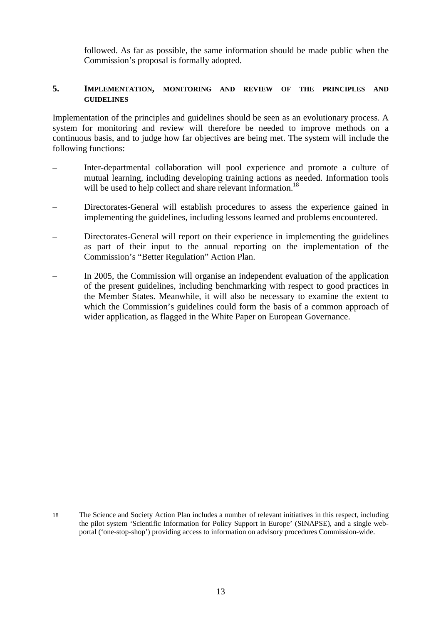followed. As far as possible, the same information should be made public when the Commission's proposal is formally adopted.

## **5. IMPLEMENTATION, MONITORING AND REVIEW OF THE PRINCIPLES AND GUIDELINES**

Implementation of the principles and guidelines should be seen as an evolutionary process. A system for monitoring and review will therefore be needed to improve methods on a continuous basis, and to judge how far objectives are being met. The system will include the following functions:

- Inter-departmental collaboration will pool experience and promote a culture of mutual learning, including developing training actions as needed. Information tools will be used to help collect and share relevant information.<sup>18</sup>
- Directorates-General will establish procedures to assess the experience gained in implementing the guidelines, including lessons learned and problems encountered.
- Directorates-General will report on their experience in implementing the guidelines as part of their input to the annual reporting on the implementation of the Commission's "Better Regulation" Action Plan.
- In 2005, the Commission will organise an independent evaluation of the application of the present guidelines, including benchmarking with respect to good practices in the Member States. Meanwhile, it will also be necessary to examine the extent to which the Commission's guidelines could form the basis of a common approach of wider application, as flagged in the White Paper on European Governance.

<sup>18</sup> The Science and Society Action Plan includes a number of relevant initiatives in this respect, including the pilot system 'Scientific Information for Policy Support in Europe' (SINAPSE), and a single webportal ('one-stop-shop') providing access to information on advisory procedures Commission-wide.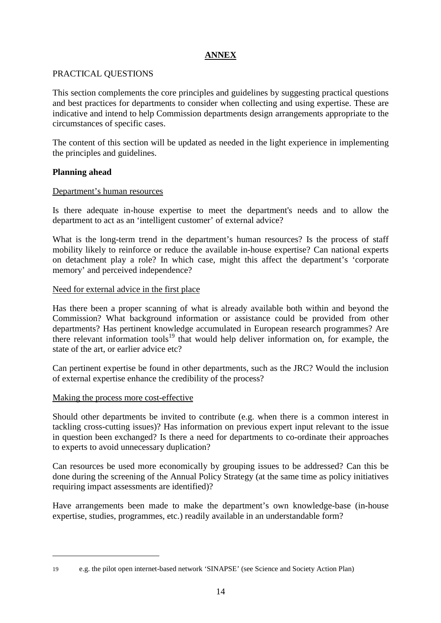# **ANNEX**

### PRACTICAL QUESTIONS

This section complements the core principles and guidelines by suggesting practical questions and best practices for departments to consider when collecting and using expertise. These are indicative and intend to help Commission departments design arrangements appropriate to the circumstances of specific cases.

The content of this section will be updated as needed in the light experience in implementing the principles and guidelines.

#### **Planning ahead**

#### Department's human resources

Is there adequate in-house expertise to meet the department's needs and to allow the department to act as an 'intelligent customer' of external advice?

What is the long-term trend in the department's human resources? Is the process of staff mobility likely to reinforce or reduce the available in-house expertise? Can national experts on detachment play a role? In which case, might this affect the department's 'corporate memory' and perceived independence?

#### Need for external advice in the first place

Has there been a proper scanning of what is already available both within and beyond the Commission? What background information or assistance could be provided from other departments? Has pertinent knowledge accumulated in European research programmes? Are there relevant information tools<sup>19</sup> that would help deliver information on, for example, the state of the art, or earlier advice etc?

Can pertinent expertise be found in other departments, such as the JRC? Would the inclusion of external expertise enhance the credibility of the process?

#### Making the process more cost-effective

 $\overline{a}$ 

Should other departments be invited to contribute (e.g. when there is a common interest in tackling cross-cutting issues)? Has information on previous expert input relevant to the issue in question been exchanged? Is there a need for departments to co-ordinate their approaches to experts to avoid unnecessary duplication?

Can resources be used more economically by grouping issues to be addressed? Can this be done during the screening of the Annual Policy Strategy (at the same time as policy initiatives requiring impact assessments are identified)?

Have arrangements been made to make the department's own knowledge-base (in-house expertise, studies, programmes, etc.) readily available in an understandable form?

<sup>19</sup> e.g. the pilot open internet-based network 'SINAPSE' (see Science and Society Action Plan)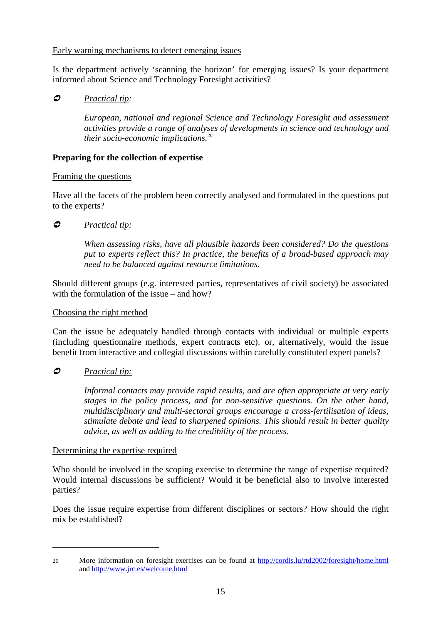Early warning mechanisms to detect emerging issues

Is the department actively 'scanning the horizon' for emerging issues? Is your department informed about Science and Technology Foresight activities?

# *Practical tip:*

*European, national and regional Science and Technology Foresight and assessment activities provide a range of analyses of developments in science and technology and their socio-economic implications.*<sup>20</sup>

## **Preparing for the collection of expertise**

### Framing the questions

Have all the facets of the problem been correctly analysed and formulated in the questions put to the experts?

# *Practical tip:*

*When assessing risks, have all plausible hazards been considered? Do the questions put to experts reflect this? In practice, the benefits of a broad-based approach may need to be balanced against resource limitations.*

Should different groups (e.g. interested parties, representatives of civil society) be associated with the formulation of the issue – and how?

### Choosing the right method

Can the issue be adequately handled through contacts with individual or multiple experts (including questionnaire methods, expert contracts etc), or, alternatively, would the issue benefit from interactive and collegial discussions within carefully constituted expert panels?

## *Practical tip:*

 $\overline{a}$ 

*Informal contacts may provide rapid results, and are often appropriate at very early stages in the policy process, and for non-sensitive questions. On the other hand, multidisciplinary and multi-sectoral groups encourage a cross-fertilisation of ideas, stimulate debate and lead to sharpened opinions. This should result in better quality advice, as well as adding to the credibility of the process.*

#### Determining the expertise required

Who should be involved in the scoping exercise to determine the range of expertise required? Would internal discussions be sufficient? Would it be beneficial also to involve interested parties?

Does the issue require expertise from different disciplines or sectors? How should the right mix be established?

<sup>20</sup> More information on foresight exercises can be found at http://cordis.lu/rtd2002/foresight/home.html and http://www.jrc.es/welcome.html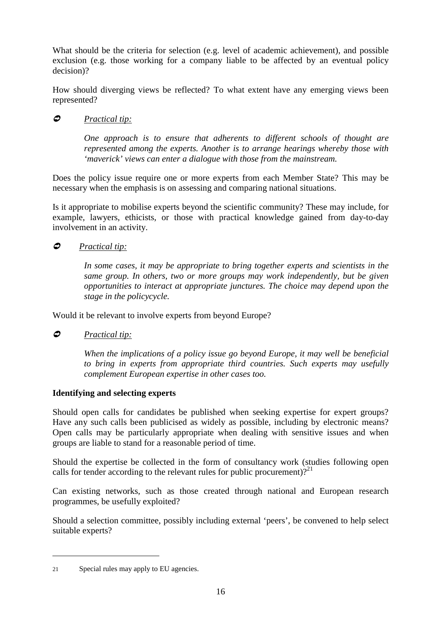What should be the criteria for selection (e.g. level of academic achievement), and possible exclusion (e.g. those working for a company liable to be affected by an eventual policy decision)?

How should diverging views be reflected? To what extent have any emerging views been represented?

# *Practical tip:*

*One approach is to ensure that adherents to different schools of thought are represented among the experts. Another is to arrange hearings whereby those with 'maverick' views can enter a dialogue with those from the mainstream.*

Does the policy issue require one or more experts from each Member State? This may be necessary when the emphasis is on assessing and comparing national situations.

Is it appropriate to mobilise experts beyond the scientific community? These may include, for example, lawyers, ethicists, or those with practical knowledge gained from day-to-day involvement in an activity.

# *Practical tip:*

*In some cases, it may be appropriate to bring together experts and scientists in the same group. In others, two or more groups may work independently, but be given opportunities to interact at appropriate junctures. The choice may depend upon the stage in the policycycle.*

Would it be relevant to involve experts from beyond Europe?

## *Practical tip:*

*When the implications of a policy issue go beyond Europe, it may well be beneficial to bring in experts from appropriate third countries. Such experts may usefully complement European expertise in other cases too.*

## **Identifying and selecting experts**

Should open calls for candidates be published when seeking expertise for expert groups? Have any such calls been publicised as widely as possible, including by electronic means? Open calls may be particularly appropriate when dealing with sensitive issues and when groups are liable to stand for a reasonable period of time.

Should the expertise be collected in the form of consultancy work (studies following open calls for tender according to the relevant rules for public procurement)?<sup>21</sup>

Can existing networks, such as those created through national and European research programmes, be usefully exploited?

Should a selection committee, possibly including external 'peers', be convened to help select suitable experts?

<sup>21</sup> Special rules may apply to EU agencies.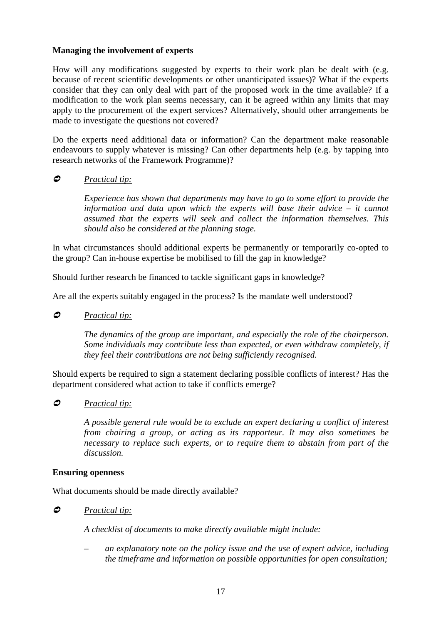## **Managing the involvement of experts**

How will any modifications suggested by experts to their work plan be dealt with (e.g. because of recent scientific developments or other unanticipated issues)? What if the experts consider that they can only deal with part of the proposed work in the time available? If a modification to the work plan seems necessary, can it be agreed within any limits that may apply to the procurement of the expert services? Alternatively, should other arrangements be made to investigate the questions not covered?

Do the experts need additional data or information? Can the department make reasonable endeavours to supply whatever is missing? Can other departments help (e.g. by tapping into research networks of the Framework Programme)?

### *Practical tip:*

*Experience has shown that departments may have to go to some effort to provide the information and data upon which the experts will base their advice – it cannot assumed that the experts will seek and collect the information themselves. This should also be considered at the planning stage.*

In what circumstances should additional experts be permanently or temporarily co-opted to the group? Can in-house expertise be mobilised to fill the gap in knowledge?

Should further research be financed to tackle significant gaps in knowledge?

Are all the experts suitably engaged in the process? Is the mandate well understood?

### *Practical tip:*

*The dynamics of the group are important, and especially the role of the chairperson. Some individuals may contribute less than expected, or even withdraw completely, if they feel their contributions are not being sufficiently recognised.*

Should experts be required to sign a statement declaring possible conflicts of interest? Has the department considered what action to take if conflicts emerge?

#### *Practical tip:*

*A possible general rule would be to exclude an expert declaring a conflict of interest from chairing a group, or acting as its rapporteur. It may also sometimes be necessary to replace such experts, or to require them to abstain from part of the discussion.*

#### **Ensuring openness**

What documents should be made directly available?

*Practical tip:*

*A checklist of documents to make directly available might include:*

– *an explanatory note on the policy issue and the use of expert advice, including the timeframe and information on possible opportunities for open consultation;*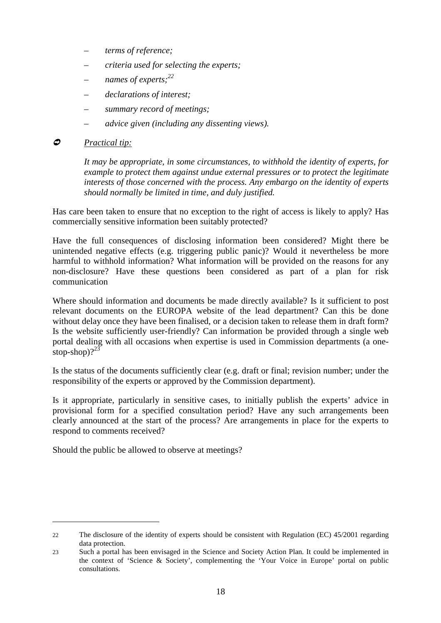- *terms of reference;*
- *criteria used for selecting the experts;*
- *names of experts;<sup>22</sup>*
- *declarations of interest;*
- *summary record of meetings;*
- *advice given (including any dissenting views).*

### *Practical tip:*

*It may be appropriate, in some circumstances, to withhold the identity of experts, for example to protect them against undue external pressures or to protect the legitimate interests of those concerned with the process. Any embargo on the identity of experts should normally be limited in time, and duly justified.*

Has care been taken to ensure that no exception to the right of access is likely to apply? Has commercially sensitive information been suitably protected?

Have the full consequences of disclosing information been considered? Might there be unintended negative effects (e.g. triggering public panic)? Would it nevertheless be more harmful to withhold information? What information will be provided on the reasons for any non-disclosure? Have these questions been considered as part of a plan for risk communication

Where should information and documents be made directly available? Is it sufficient to post relevant documents on the EUROPA website of the lead department? Can this be done without delay once they have been finalised, or a decision taken to release them in draft form? Is the website sufficiently user-friendly? Can information be provided through a single web portal dealing with all occasions when expertise is used in Commission departments (a onestop-shop)? $23$ 

Is the status of the documents sufficiently clear (e.g. draft or final; revision number; under the responsibility of the experts or approved by the Commission department).

Is it appropriate, particularly in sensitive cases, to initially publish the experts' advice in provisional form for a specified consultation period? Have any such arrangements been clearly announced at the start of the process? Are arrangements in place for the experts to respond to comments received?

Should the public be allowed to observe at meetings?

<sup>22</sup> The disclosure of the identity of experts should be consistent with Regulation (EC) 45/2001 regarding data protection.

<sup>23</sup> Such a portal has been envisaged in the Science and Society Action Plan. It could be implemented in the context of 'Science & Society', complementing the 'Your Voice in Europe' portal on public consultations.